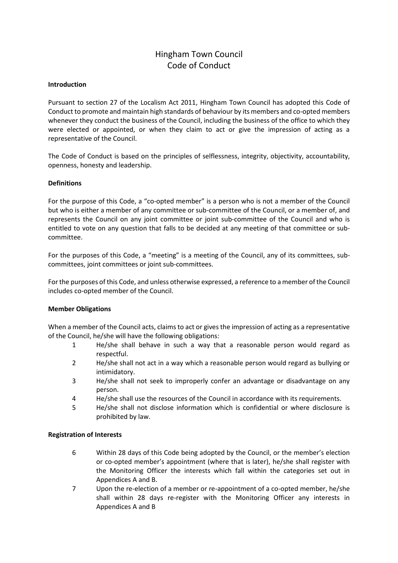# Hingham Town Council Code of Conduct

#### **Introduction**

Pursuant to section 27 of the Localism Act 2011, Hingham Town Council has adopted this Code of Conduct to promote and maintain high standards of behaviour by its members and co-opted members whenever they conduct the business of the Council, including the business of the office to which they were elected or appointed, or when they claim to act or give the impression of acting as a representative of the Council.

The Code of Conduct is based on the principles of selflessness, integrity, objectivity, accountability, openness, honesty and leadership.

#### **Definitions**

For the purpose of this Code, a "co-opted member" is a person who is not a member of the Council but who is either a member of any committee or sub-committee of the Council, or a member of, and represents the Council on any joint committee or joint sub-committee of the Council and who is entitled to vote on any question that falls to be decided at any meeting of that committee or subcommittee.

For the purposes of this Code, a "meeting" is a meeting of the Council, any of its committees, subcommittees, joint committees or joint sub-committees.

For the purposes of this Code, and unless otherwise expressed, a reference to a member of the Council includes co-opted member of the Council.

#### **Member Obligations**

When a member of the Council acts, claims to act or gives the impression of acting as a representative of the Council, he/she will have the following obligations:

- 1 He/she shall behave in such a way that a reasonable person would regard as respectful.
- 2 He/she shall not act in a way which a reasonable person would regard as bullying or intimidatory.
- 3 He/she shall not seek to improperly confer an advantage or disadvantage on any person.
- 4 He/she shall use the resources of the Council in accordance with its requirements.
- 5 He/she shall not disclose information which is confidential or where disclosure is prohibited by law.

#### **Registration of Interests**

- 6 Within 28 days of this Code being adopted by the Council, or the member's election or co-opted member's appointment (where that is later), he/she shall register with the Monitoring Officer the interests which fall within the categories set out in Appendices A and B.
- 7 Upon the re-election of a member or re-appointment of a co-opted member, he/she shall within 28 days re-register with the Monitoring Officer any interests in Appendices A and B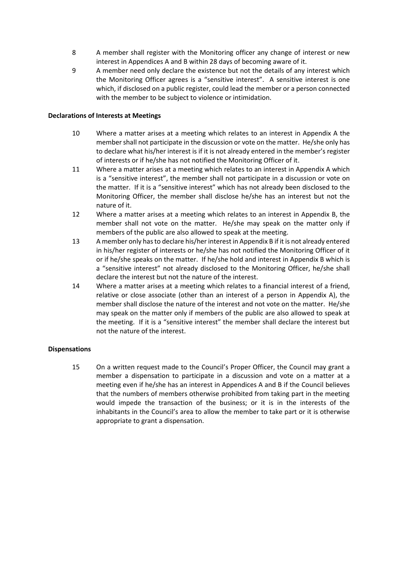- 8 A member shall register with the Monitoring officer any change of interest or new interest in Appendices A and B within 28 days of becoming aware of it.
- 9 A member need only declare the existence but not the details of any interest which the Monitoring Officer agrees is a "sensitive interest". A sensitive interest is one which, if disclosed on a public register, could lead the member or a person connected with the member to be subject to violence or intimidation.

### **Declarations of Interests at Meetings**

- 10 Where a matter arises at a meeting which relates to an interest in Appendix A the member shall not participate in the discussion or vote on the matter. He/she only has to declare what his/her interest is if it is not already entered in the member's register of interests or if he/she has not notified the Monitoring Officer of it.
- 11 Where a matter arises at a meeting which relates to an interest in Appendix A which is a "sensitive interest", the member shall not participate in a discussion or vote on the matter. If it is a "sensitive interest" which has not already been disclosed to the Monitoring Officer, the member shall disclose he/she has an interest but not the nature of it.
- 12 Where a matter arises at a meeting which relates to an interest in Appendix B, the member shall not vote on the matter. He/she may speak on the matter only if members of the public are also allowed to speak at the meeting.
- 13 A member only has to declare his/her interest in Appendix B if it is not already entered in his/her register of interests or he/she has not notified the Monitoring Officer of it or if he/she speaks on the matter. If he/she hold and interest in Appendix B which is a "sensitive interest" not already disclosed to the Monitoring Officer, he/she shall declare the interest but not the nature of the interest.
- 14 Where a matter arises at a meeting which relates to a financial interest of a friend, relative or close associate (other than an interest of a person in Appendix A), the member shall disclose the nature of the interest and not vote on the matter. He/she may speak on the matter only if members of the public are also allowed to speak at the meeting. If it is a "sensitive interest" the member shall declare the interest but not the nature of the interest.

## **Dispensations**

15 On a written request made to the Council's Proper Officer, the Council may grant a member a dispensation to participate in a discussion and vote on a matter at a meeting even if he/she has an interest in Appendices A and B if the Council believes that the numbers of members otherwise prohibited from taking part in the meeting would impede the transaction of the business; or it is in the interests of the inhabitants in the Council's area to allow the member to take part or it is otherwise appropriate to grant a dispensation.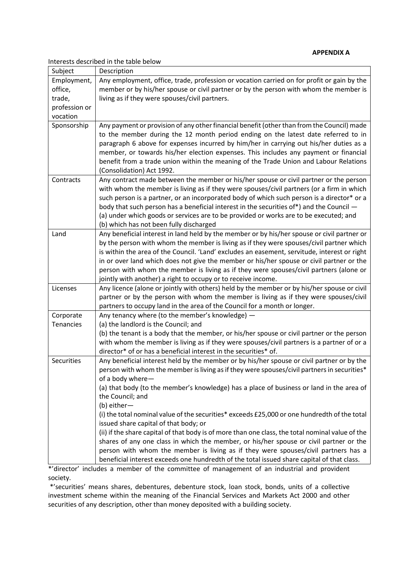Interests described in the table below

| Subject       | Description                                                                                      |
|---------------|--------------------------------------------------------------------------------------------------|
| Employment,   | Any employment, office, trade, profession or vocation carried on for profit or gain by the       |
| office,       | member or by his/her spouse or civil partner or by the person with whom the member is            |
| trade,        | living as if they were spouses/civil partners.                                                   |
| profession or |                                                                                                  |
| vocation      |                                                                                                  |
| Sponsorship   | Any payment or provision of any other financial benefit (other than from the Council) made       |
|               | to the member during the 12 month period ending on the latest date referred to in                |
|               | paragraph 6 above for expenses incurred by him/her in carrying out his/her duties as a           |
|               | member, or towards his/her election expenses. This includes any payment or financial             |
|               | benefit from a trade union within the meaning of the Trade Union and Labour Relations            |
|               | (Consolidation) Act 1992.                                                                        |
| Contracts     | Any contract made between the member or his/her spouse or civil partner or the person            |
|               | with whom the member is living as if they were spouses/civil partners (or a firm in which        |
|               | such person is a partner, or an incorporated body of which such person is a director* or a       |
|               | body that such person has a beneficial interest in the securities of*) and the Council -         |
|               | (a) under which goods or services are to be provided or works are to be executed; and            |
|               | (b) which has not been fully discharged                                                          |
| Land          | Any beneficial interest in land held by the member or by his/her spouse or civil partner or      |
|               | by the person with whom the member is living as if they were spouses/civil partner which         |
|               | is within the area of the Council. 'Land' excludes an easement, servitude, interest or right     |
|               | in or over land which does not give the member or his/her spouse or civil partner or the         |
|               | person with whom the member is living as if they were spouses/civil partners (alone or           |
|               | jointly with another) a right to occupy or to receive income.                                    |
| Licenses      | Any licence (alone or jointly with others) held by the member or by his/her spouse or civil      |
|               | partner or by the person with whom the member is living as if they were spouses/civil            |
|               | partners to occupy land in the area of the Council for a month or longer.                        |
| Corporate     | Any tenancy where (to the member's knowledge) -                                                  |
| Tenancies     | (a) the landlord is the Council; and                                                             |
|               | (b) the tenant is a body that the member, or his/her spouse or civil partner or the person       |
|               | with whom the member is living as if they were spouses/civil partners is a partner of or a       |
|               | director* of or has a beneficial interest in the securities* of.                                 |
| Securities    | Any beneficial interest held by the member or by his/her spouse or civil partner or by the       |
|               | person with whom the member is living as if they were spouses/civil partners in securities*      |
|               | of a body where-                                                                                 |
|               | (a) that body (to the member's knowledge) has a place of business or land in the area of         |
|               | the Council; and                                                                                 |
|               | (b) either-                                                                                      |
|               | (i) the total nominal value of the securities* exceeds £25,000 or one hundredth of the total     |
|               | issued share capital of that body; or                                                            |
|               | (ii) if the share capital of that body is of more than one class, the total nominal value of the |
|               | shares of any one class in which the member, or his/her spouse or civil partner or the           |
|               | person with whom the member is living as if they were spouses/civil partners has a               |
|               | beneficial interest exceeds one hundredth of the total issued share capital of that class.       |

\*'director' includes a member of the committee of management of an industrial and provident society.

\*'securities' means shares, debentures, debenture stock, loan stock, bonds, units of a collective investment scheme within the meaning of the Financial Services and Markets Act 2000 and other securities of any description, other than money deposited with a building society.